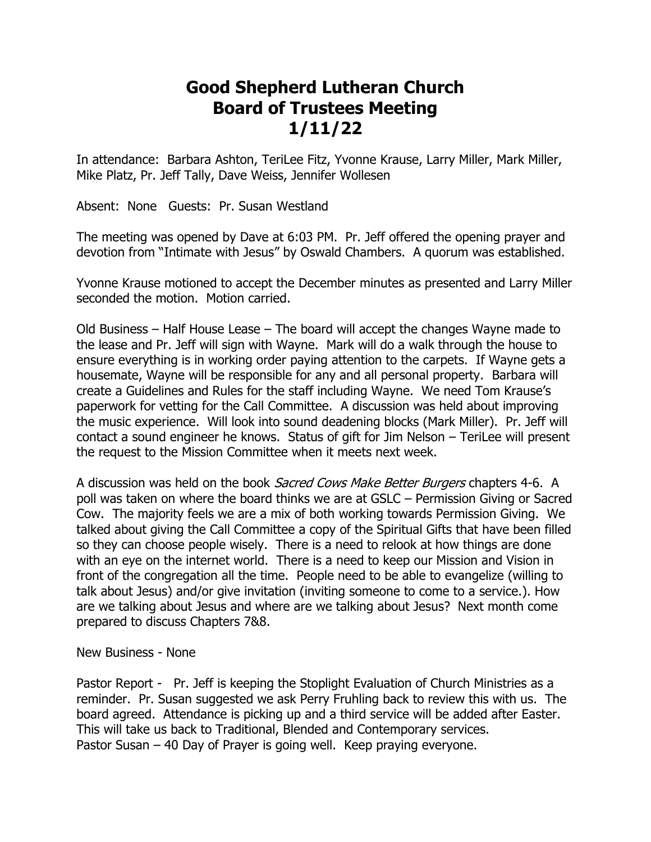## **Good Shepherd Lutheran Church Board of Trustees Meeting 1/11/22**

In attendance: Barbara Ashton, TeriLee Fitz, Yvonne Krause, Larry Miller, Mark Miller, Mike Platz, Pr. Jeff Tally, Dave Weiss, Jennifer Wollesen

Absent: None Guests: Pr. Susan Westland

The meeting was opened by Dave at 6:03 PM. Pr. Jeff offered the opening prayer and devotion from "Intimate with Jesus" by Oswald Chambers. A quorum was established.

Yvonne Krause motioned to accept the December minutes as presented and Larry Miller seconded the motion. Motion carried.

Old Business – Half House Lease – The board will accept the changes Wayne made to the lease and Pr. Jeff will sign with Wayne. Mark will do a walk through the house to ensure everything is in working order paying attention to the carpets. If Wayne gets a housemate, Wayne will be responsible for any and all personal property. Barbara will create a Guidelines and Rules for the staff including Wayne. We need Tom Krause's paperwork for vetting for the Call Committee. A discussion was held about improving the music experience. Will look into sound deadening blocks (Mark Miller). Pr. Jeff will contact a sound engineer he knows. Status of gift for Jim Nelson – TeriLee will present the request to the Mission Committee when it meets next week.

A discussion was held on the book *Sacred Cows Make Better Burgers* chapters 4-6. A poll was taken on where the board thinks we are at GSLC – Permission Giving or Sacred Cow. The majority feels we are a mix of both working towards Permission Giving. We talked about giving the Call Committee a copy of the Spiritual Gifts that have been filled so they can choose people wisely. There is a need to relook at how things are done with an eye on the internet world. There is a need to keep our Mission and Vision in front of the congregation all the time. People need to be able to evangelize (willing to talk about Jesus) and/or give invitation (inviting someone to come to a service.). How are we talking about Jesus and where are we talking about Jesus? Next month come prepared to discuss Chapters 7&8.

New Business - None

Pastor Report - Pr. Jeff is keeping the Stoplight Evaluation of Church Ministries as a reminder. Pr. Susan suggested we ask Perry Fruhling back to review this with us. The board agreed. Attendance is picking up and a third service will be added after Easter. This will take us back to Traditional, Blended and Contemporary services. Pastor Susan – 40 Day of Prayer is going well. Keep praying everyone.